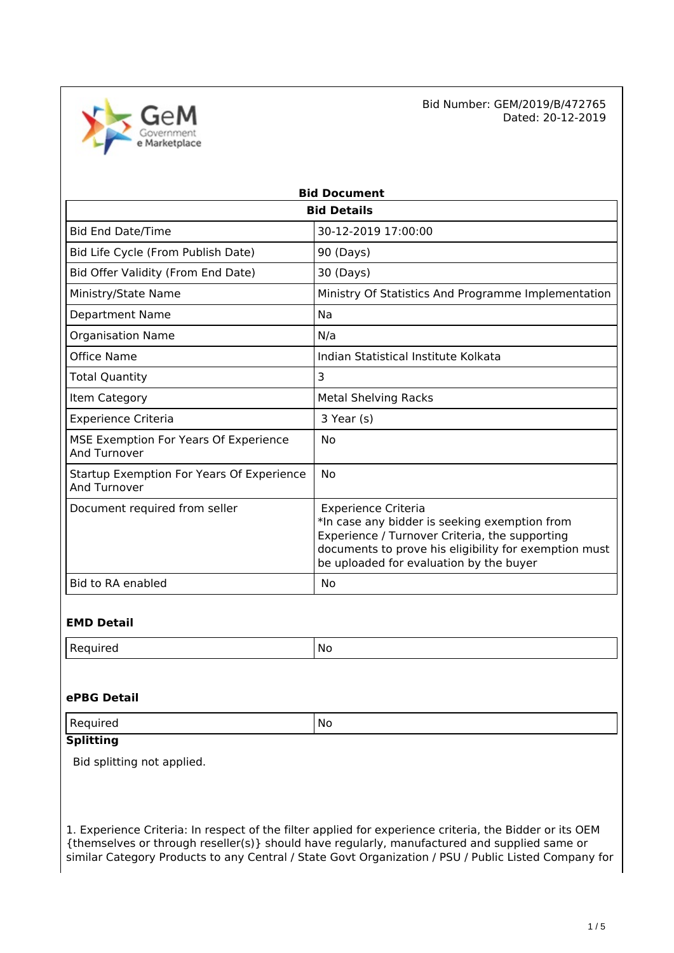Government e Marketplace  Bid Number: GEM/2019/B/472765 Dated: 20-12-2019

| <b>Bid Document</b>                                              |                                                                                                                                                                                                                                   |  |  |
|------------------------------------------------------------------|-----------------------------------------------------------------------------------------------------------------------------------------------------------------------------------------------------------------------------------|--|--|
| <b>Bid Details</b>                                               |                                                                                                                                                                                                                                   |  |  |
| <b>Bid End Date/Time</b>                                         | 30-12-2019 17:00:00                                                                                                                                                                                                               |  |  |
| Bid Life Cycle (From Publish Date)                               | 90 (Days)                                                                                                                                                                                                                         |  |  |
| Bid Offer Validity (From End Date)                               | 30 (Days)                                                                                                                                                                                                                         |  |  |
| Ministry/State Name                                              | Ministry Of Statistics And Programme Implementation                                                                                                                                                                               |  |  |
| <b>Department Name</b>                                           | Na                                                                                                                                                                                                                                |  |  |
| <b>Organisation Name</b>                                         | N/a                                                                                                                                                                                                                               |  |  |
| Office Name                                                      | Indian Statistical Institute Kolkata                                                                                                                                                                                              |  |  |
| <b>Total Quantity</b>                                            | 3                                                                                                                                                                                                                                 |  |  |
| Item Category                                                    | <b>Metal Shelving Racks</b>                                                                                                                                                                                                       |  |  |
| <b>Experience Criteria</b>                                       | 3 Year (s)                                                                                                                                                                                                                        |  |  |
| MSE Exemption For Years Of Experience<br><b>And Turnover</b>     | No                                                                                                                                                                                                                                |  |  |
| Startup Exemption For Years Of Experience<br><b>And Turnover</b> | No                                                                                                                                                                                                                                |  |  |
| Document required from seller                                    | <b>Experience Criteria</b><br>*In case any bidder is seeking exemption from<br>Experience / Turnover Criteria, the supporting<br>documents to prove his eligibility for exemption must<br>be uploaded for evaluation by the buyer |  |  |
| <b>Bid to RA enabled</b>                                         | No                                                                                                                                                                                                                                |  |  |

### **EMD Detail**

### **ePBG Detail**

| $\mathsf{D}$ | .No    |
|--------------|--------|
| ' Requirea   | $\sim$ |
|              |        |

# **Splitting**

Bid splitting not applied.

1. Experience Criteria: In respect of the filter applied for experience criteria, the Bidder or its OEM {themselves or through reseller(s)} should have regularly, manufactured and supplied same or similar Category Products to any Central / State Govt Organization / PSU / Public Listed Company for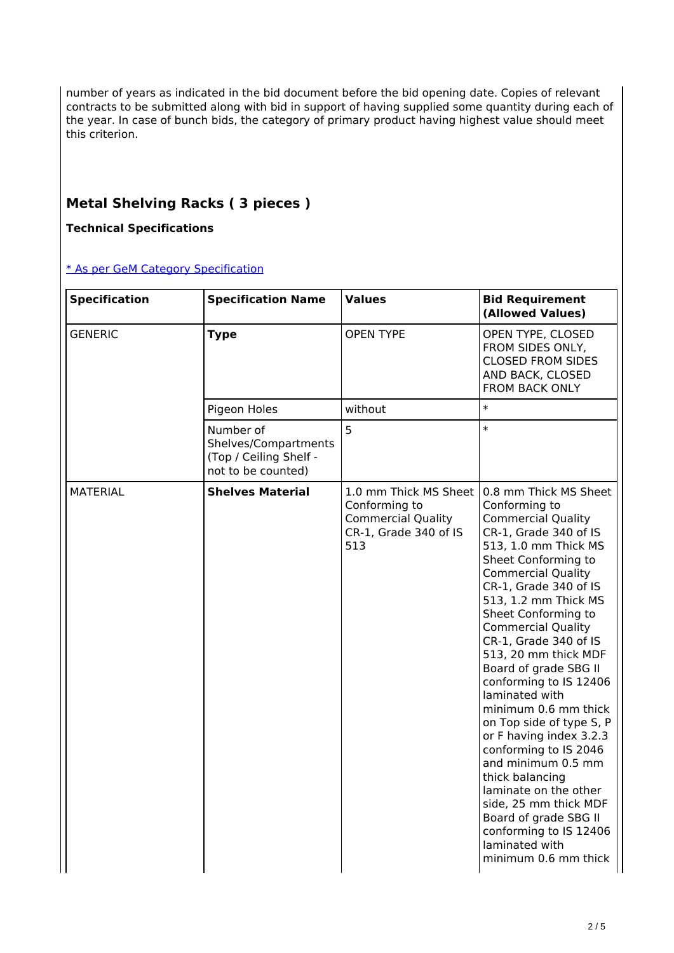number of years as indicated in the bid document before the bid opening date. Copies of relevant contracts to be submitted along with bid in support of having supplied some quantity during each of the year. In case of bunch bids, the category of primary product having highest value should meet this criterion.

# **Metal Shelving Racks ( 3 pieces )**

**Technical Specifications**

[\\* As per GeM Category Specification](https://bidplus.gem.gov.in/bidding/bid/showCatalogue/jAHsQnkvl6wqXNP7T7y5SKgljpgrplXfudGtR055Pkw)

| <b>Specification</b> | <b>Specification Name</b>                                                         | <b>Values</b>                                                                                         | <b>Bid Requirement</b><br>(Allowed Values)                                                                                                                                                                                                                                                                                                                                                                                                                                                                                                                                                                                                                                                          |
|----------------------|-----------------------------------------------------------------------------------|-------------------------------------------------------------------------------------------------------|-----------------------------------------------------------------------------------------------------------------------------------------------------------------------------------------------------------------------------------------------------------------------------------------------------------------------------------------------------------------------------------------------------------------------------------------------------------------------------------------------------------------------------------------------------------------------------------------------------------------------------------------------------------------------------------------------------|
| <b>GENERIC</b>       | <b>Type</b>                                                                       | <b>OPEN TYPE</b>                                                                                      | OPEN TYPE, CLOSED<br>FROM SIDES ONLY,<br><b>CLOSED FROM SIDES</b><br>AND BACK, CLOSED<br>FROM BACK ONLY                                                                                                                                                                                                                                                                                                                                                                                                                                                                                                                                                                                             |
|                      | Pigeon Holes                                                                      | without                                                                                               | $\ast$                                                                                                                                                                                                                                                                                                                                                                                                                                                                                                                                                                                                                                                                                              |
|                      | Number of<br>Shelves/Compartments<br>(Top / Ceiling Shelf -<br>not to be counted) | 5                                                                                                     | $\ast$                                                                                                                                                                                                                                                                                                                                                                                                                                                                                                                                                                                                                                                                                              |
| <b>MATERIAL</b>      | <b>Shelves Material</b>                                                           | 1.0 mm Thick MS Sheet I<br>Conforming to<br><b>Commercial Quality</b><br>CR-1, Grade 340 of IS<br>513 | 0.8 mm Thick MS Sheet<br>Conforming to<br><b>Commercial Quality</b><br>CR-1, Grade 340 of IS<br>513, 1.0 mm Thick MS<br>Sheet Conforming to<br><b>Commercial Quality</b><br>CR-1, Grade 340 of IS<br>513, 1.2 mm Thick MS<br>Sheet Conforming to<br><b>Commercial Quality</b><br>CR-1, Grade 340 of IS<br>513, 20 mm thick MDF<br>Board of grade SBG II<br>conforming to IS 12406<br>laminated with<br>minimum 0.6 mm thick<br>on Top side of type S, P<br>or F having index 3.2.3<br>conforming to IS 2046<br>and minimum 0.5 mm<br>thick balancing<br>laminate on the other<br>side, 25 mm thick MDF<br>Board of grade SBG II<br>conforming to IS 12406<br>laminated with<br>minimum 0.6 mm thick |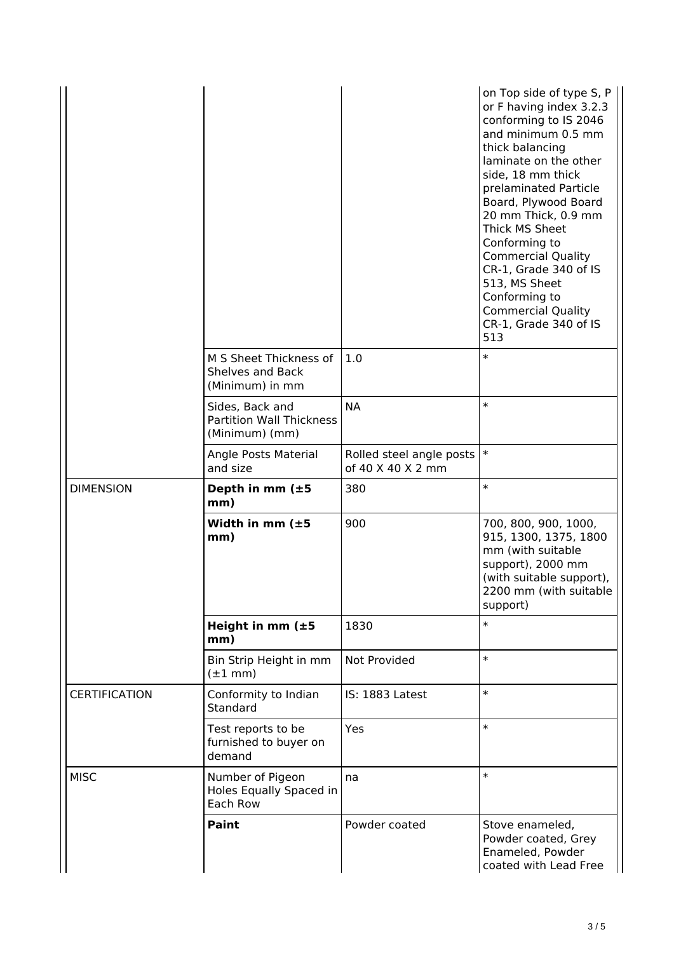|                      |                                                                      |                                                               | on Top side of type S, P<br>or F having index 3.2.3<br>conforming to IS 2046<br>and minimum 0.5 mm<br>thick balancing<br>laminate on the other<br>side, 18 mm thick<br>prelaminated Particle<br>Board, Plywood Board<br>20 mm Thick, 0.9 mm<br>Thick MS Sheet<br>Conforming to<br><b>Commercial Quality</b><br>CR-1, Grade 340 of IS<br>513, MS Sheet<br>Conforming to<br><b>Commercial Quality</b><br>CR-1, Grade 340 of IS<br>513 |
|----------------------|----------------------------------------------------------------------|---------------------------------------------------------------|-------------------------------------------------------------------------------------------------------------------------------------------------------------------------------------------------------------------------------------------------------------------------------------------------------------------------------------------------------------------------------------------------------------------------------------|
|                      | M S Sheet Thickness of<br>Shelves and Back<br>(Minimum) in mm        | 1.0                                                           | $\ast$                                                                                                                                                                                                                                                                                                                                                                                                                              |
|                      | Sides, Back and<br><b>Partition Wall Thickness</b><br>(Minimum) (mm) | <b>NA</b>                                                     | $\ast$                                                                                                                                                                                                                                                                                                                                                                                                                              |
|                      | Angle Posts Material<br>and size                                     | Rolled steel angle posts $\vert * \vert$<br>of 40 X 40 X 2 mm |                                                                                                                                                                                                                                                                                                                                                                                                                                     |
| <b>DIMENSION</b>     | Depth in mm $(\pm 5)$<br>mm)                                         | 380                                                           | $\ast$                                                                                                                                                                                                                                                                                                                                                                                                                              |
|                      | Width in mm $(\pm 5)$<br>mm)                                         | 900                                                           | 700, 800, 900, 1000,<br>915, 1300, 1375, 1800<br>mm (with suitable<br>support), 2000 mm<br>(with suitable support),<br>2200 mm (with suitable<br>support)                                                                                                                                                                                                                                                                           |
|                      | Height in mm $(\pm 5)$<br>mm)                                        | 1830                                                          | $\ast$                                                                                                                                                                                                                                                                                                                                                                                                                              |
|                      |                                                                      |                                                               |                                                                                                                                                                                                                                                                                                                                                                                                                                     |
|                      | Bin Strip Height in mm<br>$(\pm 1$ mm)                               | Not Provided                                                  | $\ast$                                                                                                                                                                                                                                                                                                                                                                                                                              |
| <b>CERTIFICATION</b> | Conformity to Indian<br>Standard                                     | IS: 1883 Latest                                               | $\ast$                                                                                                                                                                                                                                                                                                                                                                                                                              |
|                      | Test reports to be<br>furnished to buyer on<br>demand                | Yes                                                           | $\ast$                                                                                                                                                                                                                                                                                                                                                                                                                              |
| <b>MISC</b>          | Number of Pigeon<br>Holes Equally Spaced in<br>Each Row              | na                                                            | $\ast$                                                                                                                                                                                                                                                                                                                                                                                                                              |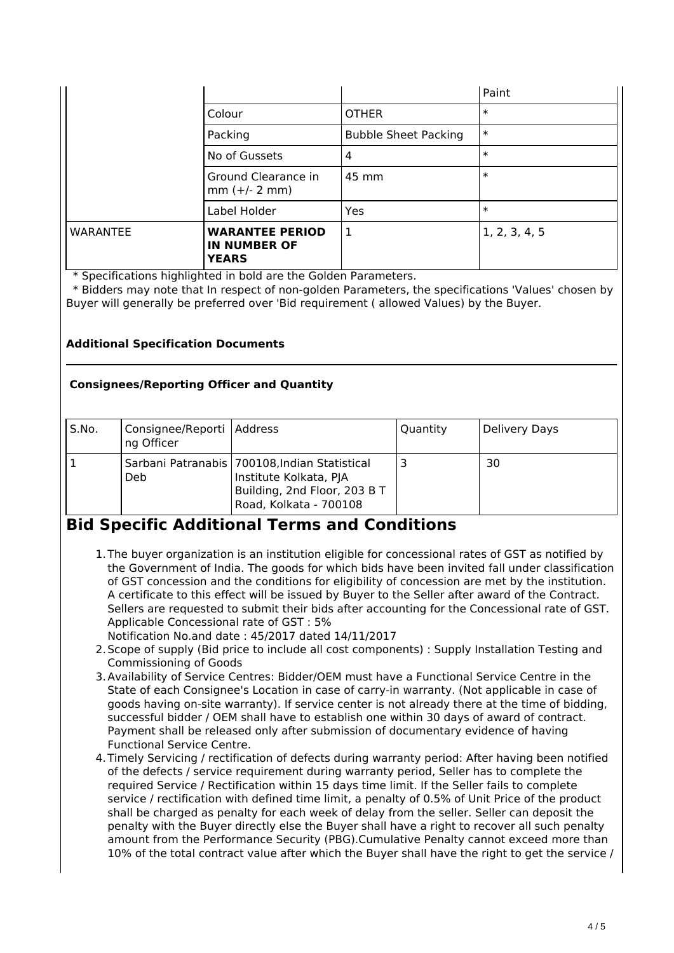|                 |                                                               |                             | Paint         |
|-----------------|---------------------------------------------------------------|-----------------------------|---------------|
|                 | Colour                                                        | <b>OTHER</b>                | $\ast$        |
|                 | Packing                                                       | <b>Bubble Sheet Packing</b> | $\ast$        |
|                 | No of Gussets                                                 | 4                           | $\ast$        |
|                 | Ground Clearance in<br>$mm (+/- 2 mm)$                        | 45 mm                       | $\ast$        |
|                 | Label Holder                                                  | Yes                         | $\ast$        |
| <b>WARANTEE</b> | <b>WARANTEE PERIOD</b><br><b>IN NUMBER OF</b><br><b>YEARS</b> | 1                           | 1, 2, 3, 4, 5 |

\* Specifications highlighted in bold are the Golden Parameters.

 \* Bidders may note that In respect of non-golden Parameters, the specifications 'Values' chosen by Buyer will generally be preferred over 'Bid requirement ( allowed Values) by the Buyer.

## **Additional Specification Documents**

### **Consignees/Reporting Officer and Quantity**

| S.No. | Consignee/Reporti   Address<br>ng Officer |                                                                                                                                     | Quantity | Delivery Days |
|-------|-------------------------------------------|-------------------------------------------------------------------------------------------------------------------------------------|----------|---------------|
|       | Deb.                                      | Sarbani Patranabis   700108, Indian Statistical<br>Institute Kolkata, PJA<br>Building, 2nd Floor, 203 B T<br>Road, Kolkata - 700108 |          | 30            |

# **Bid Specific Additional Terms and Conditions**

- 1.The buyer organization is an institution eligible for concessional rates of GST as notified by the Government of India. The goods for which bids have been invited fall under classification of GST concession and the conditions for eligibility of concession are met by the institution. A certificate to this effect will be issued by Buyer to the Seller after award of the Contract. Sellers are requested to submit their bids after accounting for the Concessional rate of GST. Applicable Concessional rate of GST : 5%
- Notification No.and date : 45/2017 dated 14/11/2017
- 2.Scope of supply (Bid price to include all cost components) : Supply Installation Testing and Commissioning of Goods
- 3.Availability of Service Centres: Bidder/OEM must have a Functional Service Centre in the State of each Consignee's Location in case of carry-in warranty. (Not applicable in case of goods having on-site warranty). If service center is not already there at the time of bidding, successful bidder / OEM shall have to establish one within 30 days of award of contract. Payment shall be released only after submission of documentary evidence of having Functional Service Centre.
- 4.Timely Servicing / rectification of defects during warranty period: After having been notified of the defects / service requirement during warranty period, Seller has to complete the required Service / Rectification within 15 days time limit. If the Seller fails to complete service / rectification with defined time limit, a penalty of 0.5% of Unit Price of the product shall be charged as penalty for each week of delay from the seller. Seller can deposit the penalty with the Buyer directly else the Buyer shall have a right to recover all such penalty amount from the Performance Security (PBG).Cumulative Penalty cannot exceed more than 10% of the total contract value after which the Buyer shall have the right to get the service /